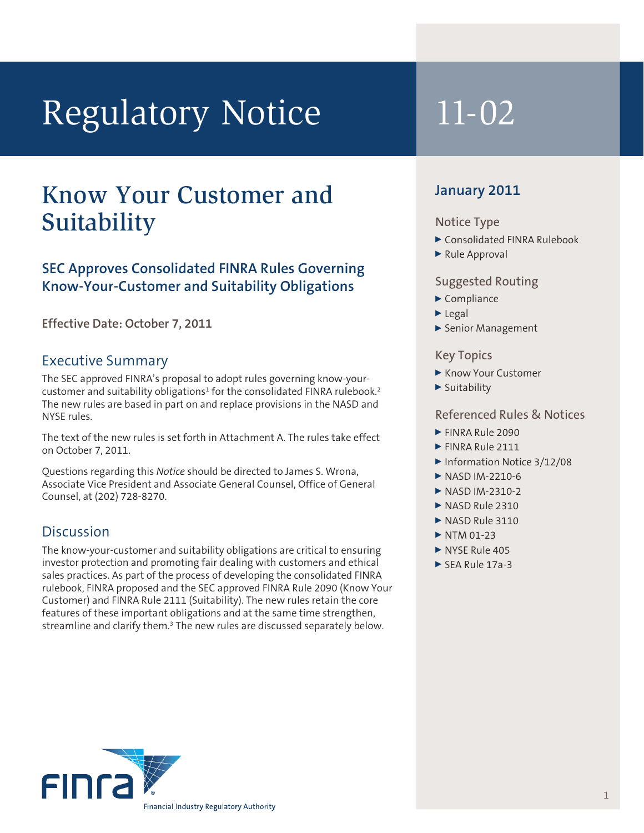# Regulatory Notice 11-02

## Know Your Customer and Suitability

### **SEC Approves Consolidated FINRA Rules Governing Know-Your-Customer and Suitability Obligations**

**Effective Date: October 7, 2011**

#### Executive Summary

The SEC approved FINRA's proposal to adopt rules governing know-yourcustomer and suitability obligations<sup>1</sup> for the consolidated FINRA rulebook.<sup>2</sup> The new rules are based in part on and replace provisions in the NASD and NYSE rules.

The text of the new rules is set forth in Attachment A. The rules take effect on October 7, 2011.

Questions regarding this *Notice* should be directed to James S. Wrona, Associate Vice President and Associate General Counsel, Office of General Counsel, at (202) 728-8270.

#### **Discussion**

The know-your-customer and suitability obligations are critical to ensuring investor protection and promoting fair dealing with customers and ethical sales practices. As part of the process of developing the consolidated FINRA rulebook, FINRA proposed and the SEC approved FINRA Rule 2090 (Know Your Customer) and FINRA Rule 2111 (Suitability). The new rules retain the core features of these important obligations and at the same time strengthen, streamline and clarify them.<sup>3</sup> The new rules are discussed separately below.

#### **January 2011**

#### Notice Type

- ▶ Consolidated FINRA Rulebook
- $\blacktriangleright$  Rule Approval

#### Suggested Routing

- $\blacktriangleright$  Compliance
- $\blacktriangleright$  Legal
- ▶ Senior Management

#### Key Topics

- ▶ Know Your Customer
- $\blacktriangleright$  Suitability

#### Referenced Rules & Notices

- **FINRA Rule 2090**
- $\blacktriangleright$  FINRA Rule 2111
- Information Notice 3/12/08
- <sup>0</sup> NASD IM-2210-6
- $\triangleright$  NASD IM-2310-2
- $\blacktriangleright$  NASD Rule 2310
- NASD Rule 3110
- $\triangleright$  NTM 01-23
- $\triangleright$  NYSE Rule 405
- $\triangleright$  SEA Rule 17a-3

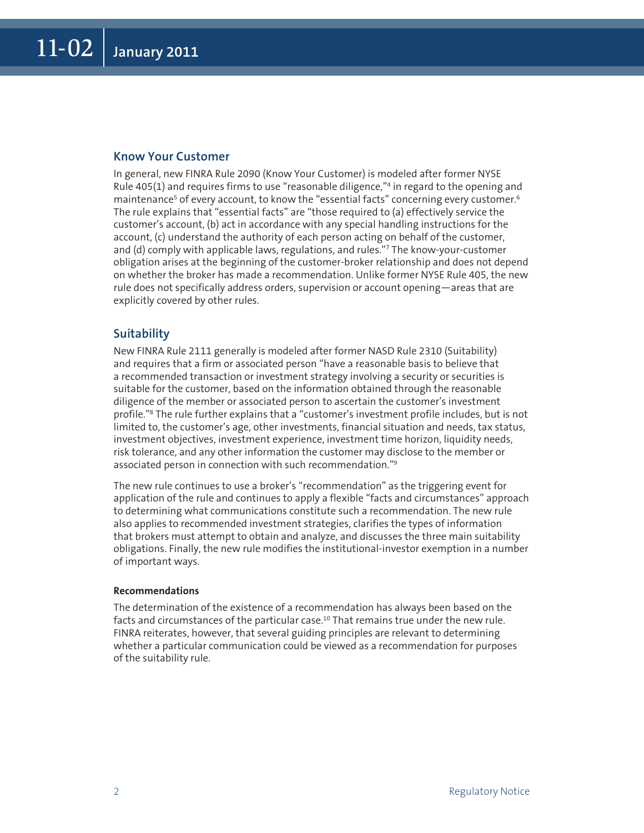#### **Know Your Customer**

In general, new FINRA Rule 2090 (Know Your Customer) is modeled after former NYSE Rule 405(1) and requires firms to use "reasonable diligence,"4 in regard to the opening and maintenance<sup>5</sup> of every account, to know the "essential facts" concerning every customer.<sup>6</sup> The rule explains that "essential facts" are "those required to (a) effectively service the customer's account, (b) act in accordance with any special handling instructions for the account, (c) understand the authority of each person acting on behalf of the customer, and (d) comply with applicable laws, regulations, and rules."7 The know-your-customer obligation arises at the beginning of the customer-broker relationship and does not depend on whether the broker has made a recommendation. Unlike former NYSE Rule 405, the new rule does not specifically address orders, supervision or account opening—areas that are explicitly covered by other rules.

#### **Suitability**

New FINRA Rule 2111 generally is modeled after former NASD Rule 2310 (Suitability) and requires that a firm or associated person "have a reasonable basis to believe that a recommended transaction or investment strategy involving a security or securities is suitable for the customer, based on the information obtained through the reasonable diligence of the member or associated person to ascertain the customer's investment profile."8 The rule further explains that a "customer's investment profile includes, but is not limited to, the customer's age, other investments, financial situation and needs, tax status, investment objectives, investment experience, investment time horizon, liquidity needs, risk tolerance, and any other information the customer may disclose to the member or associated person in connection with such recommendation."9

The new rule continues to use a broker's "recommendation" as the triggering event for application of the rule and continues to apply a flexible "facts and circumstances" approach to determining what communications constitute such a recommendation. The new rule also applies to recommended investment strategies, clarifies the types of information that brokers must attempt to obtain and analyze, and discusses the three main suitability obligations. Finally, the new rule modifies the institutional-investor exemption in a number of important ways.

#### **Recommendations**

The determination of the existence of a recommendation has always been based on the facts and circumstances of the particular case.<sup>10</sup> That remains true under the new rule. FINRA reiterates, however, that several guiding principles are relevant to determining whether a particular communication could be viewed as a recommendation for purposes of the suitability rule.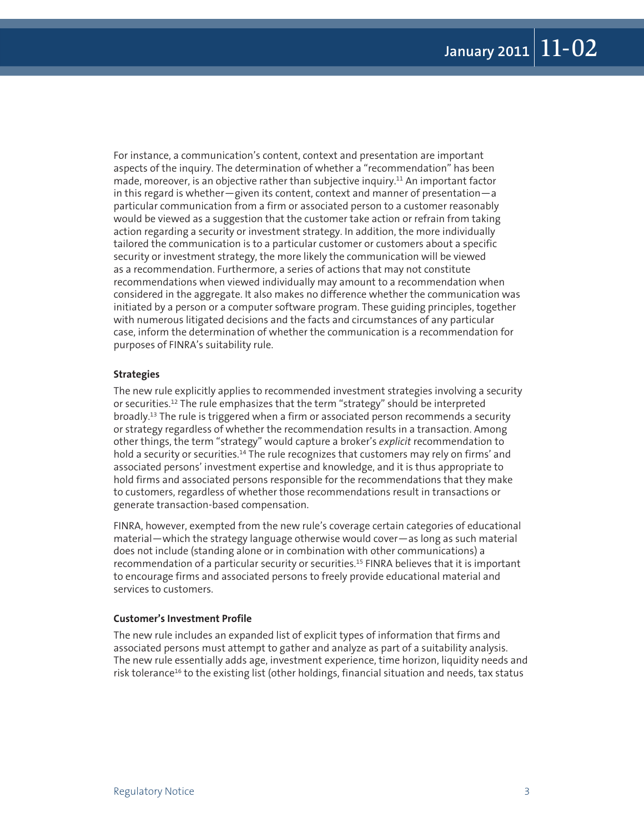For instance, a communication's content, context and presentation are important aspects of the inquiry. The determination of whether a "recommendation" has been made, moreover, is an objective rather than subjective inquiry.11 An important factor in this regard is whether—given its content, context and manner of presentation—a particular communication from a firm or associated person to a customer reasonably would be viewed as a suggestion that the customer take action or refrain from taking action regarding a security or investment strategy. In addition, the more individually tailored the communication is to a particular customer or customers about a specific security or investment strategy, the more likely the communication will be viewed as a recommendation. Furthermore, a series of actions that may not constitute recommendations when viewed individually may amount to a recommendation when considered in the aggregate. It also makes no difference whether the communication was initiated by a person or a computer software program. These guiding principles, together with numerous litigated decisions and the facts and circumstances of any particular case, inform the determination of whether the communication is a recommendation for purposes of FINRA's suitability rule.

#### **Strategies**

The new rule explicitly applies to recommended investment strategies involving a security or securities.<sup>12</sup> The rule emphasizes that the term "strategy" should be interpreted broadly.13 The rule is triggered when a firm or associated person recommends a security or strategy regardless of whether the recommendation results in a transaction. Among other things, the term "strategy" would capture a broker's *explicit* recommendation to hold a security or securities.<sup>14</sup> The rule recognizes that customers may rely on firms' and associated persons' investment expertise and knowledge, and it is thus appropriate to hold firms and associated persons responsible for the recommendations that they make to customers, regardless of whether those recommendations result in transactions or generate transaction-based compensation.

FINRA, however, exempted from the new rule's coverage certain categories of educational material—which the strategy language otherwise would cover—as long as such material does not include (standing alone or in combination with other communications) a recommendation of a particular security or securities.15 FINRA believes that it is important to encourage firms and associated persons to freely provide educational material and services to customers.

#### **Customer's Investment Profile**

The new rule includes an expanded list of explicit types of information that firms and associated persons must attempt to gather and analyze as part of a suitability analysis. The new rule essentially adds age, investment experience, time horizon, liquidity needs and risk tolerance<sup>16</sup> to the existing list (other holdings, financial situation and needs, tax status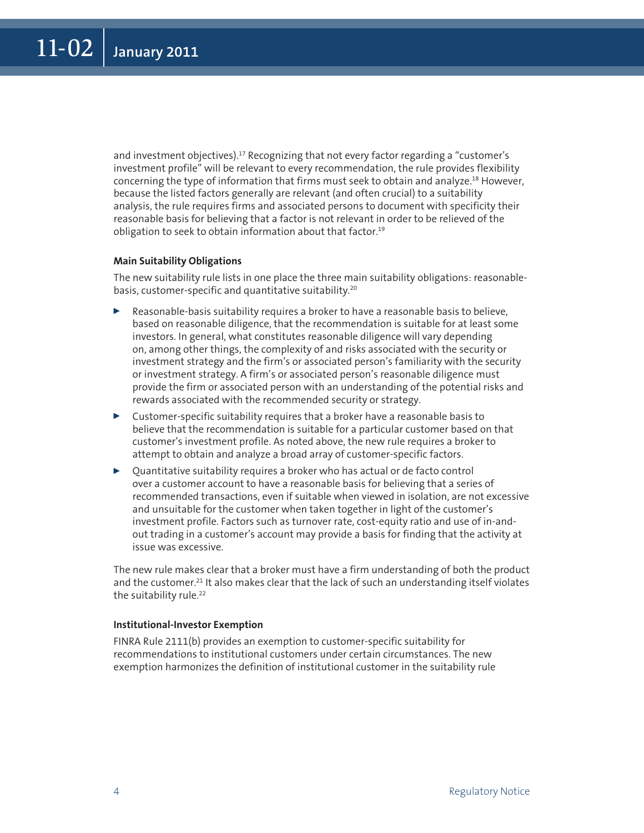and investment objectives).<sup>17</sup> Recognizing that not every factor regarding a "customer's investment profile" will be relevant to every recommendation, the rule provides flexibility concerning the type of information that firms must seek to obtain and analyze.18 However, because the listed factors generally are relevant (and often crucial) to a suitability analysis, the rule requires firms and associated persons to document with specificity their reasonable basis for believing that a factor is not relevant in order to be relieved of the obligation to seek to obtain information about that factor.<sup>19</sup>

#### **Main Suitability Obligations**

The new suitability rule lists in one place the three main suitability obligations: reasonablebasis, customer-specific and quantitative suitability.<sup>20</sup>

- $\blacktriangleright$  Reasonable-basis suitability requires a broker to have a reasonable basis to believe, based on reasonable diligence, that the recommendation is suitable for at least some investors. In general, what constitutes reasonable diligence will vary depending on, among other things, the complexity of and risks associated with the security or investment strategy and the firm's or associated person's familiarity with the security or investment strategy. A firm's or associated person's reasonable diligence must provide the firm or associated person with an understanding of the potential risks and rewards associated with the recommended security or strategy.
- $\triangleright$  Customer-specific suitability requires that a broker have a reasonable basis to believe that the recommendation is suitable for a particular customer based on that customer's investment profile. As noted above, the new rule requires a broker to attempt to obtain and analyze a broad array of customer-specific factors.
- $\triangleright$  Ouantitative suitability requires a broker who has actual or de facto control over a customer account to have a reasonable basis for believing that a series of recommended transactions, even if suitable when viewed in isolation, are not excessive and unsuitable for the customer when taken together in light of the customer's investment profile. Factors such as turnover rate, cost-equity ratio and use of in-andout trading in a customer's account may provide a basis for finding that the activity at issue was excessive.

The new rule makes clear that a broker must have a firm understanding of both the product and the customer.<sup>21</sup> It also makes clear that the lack of such an understanding itself violates the suitability rule.<sup>22</sup>

#### **Institutional-Investor Exemption**

FINRA Rule 2111(b) provides an exemption to customer-specific suitability for recommendations to institutional customers under certain circumstances. The new exemption harmonizes the definition of institutional customer in the suitability rule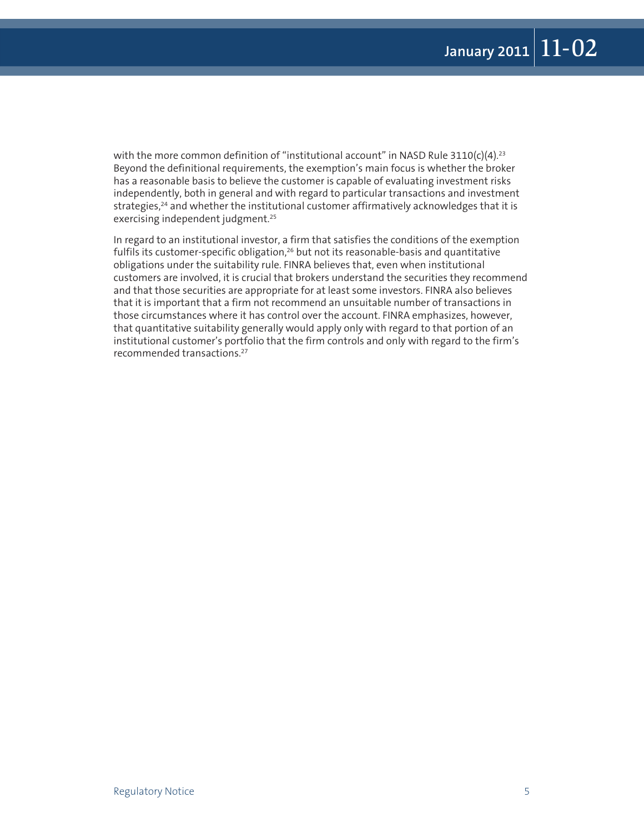with the more common definition of "institutional account" in NASD Rule  $3110(c)(4).^{23}$ Beyond the definitional requirements, the exemption's main focus is whether the broker has a reasonable basis to believe the customer is capable of evaluating investment risks independently, both in general and with regard to particular transactions and investment strategies,<sup>24</sup> and whether the institutional customer affirmatively acknowledges that it is exercising independent judgment.<sup>25</sup>

In regard to an institutional investor, a firm that satisfies the conditions of the exemption fulfils its customer-specific obligation,<sup>26</sup> but not its reasonable-basis and quantitative obligations under the suitability rule. FINRA believes that, even when institutional customers are involved, it is crucial that brokers understand the securities they recommend and that those securities are appropriate for at least some investors. FINRA also believes that it is important that a firm not recommend an unsuitable number of transactions in those circumstances where it has control over the account. FINRA emphasizes, however, that quantitative suitability generally would apply only with regard to that portion of an institutional customer's portfolio that the firm controls and only with regard to the firm's recommended transactions.27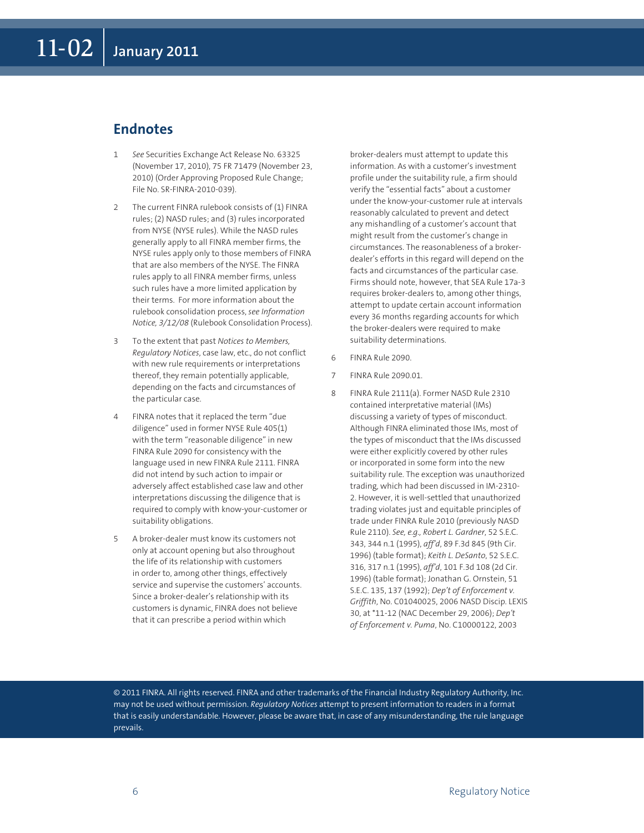#### **Endnotes**

- 1 *See* Securities Exchange Act Release No. 63325 (November 17, 2010), 75 FR 71479 (November 23, 2010) (Order Approving Proposed Rule Change; File No. SR-FINRA-2010-039).
- 2 The current FINRA rulebook consists of (1) FINRA rules; (2) NASD rules; and (3) rules incorporated from NYSE (NYSE rules). While the NASD rules generally apply to all FINRA member firms, the NYSE rules apply only to those members of FINRA that are also members of the NYSE. The FINRA rules apply to all FINRA member firms, unless such rules have a more limited application by their terms. For more information about the rulebook consolidation process, *see Information Notice, 3/12/08* (Rulebook Consolidation Process).
- 3 To the extent that past *Notices to Members, Regulatory Notices*, case law, etc., do not conflict with new rule requirements or interpretations thereof, they remain potentially applicable, depending on the facts and circumstances of the particular case.
- 4 FINRA notes that it replaced the term "due diligence" used in former NYSE Rule 405(1) with the term "reasonable diligence" in new FINRA Rule 2090 for consistency with the language used in new FINRA Rule 2111. FINRA did not intend by such action to impair or adversely affect established case law and other interpretations discussing the diligence that is required to comply with know-your-customer or suitability obligations.
- 5 A broker-dealer must know its customers not only at account opening but also throughout the life of its relationship with customers in order to, among other things, effectively service and supervise the customers' accounts. Since a broker-dealer's relationship with its customers is dynamic, FINRA does not believe that it can prescribe a period within which

broker-dealers must attempt to update this information. As with a customer's investment profile under the suitability rule, a firm should verify the "essential facts" about a customer under the know-your-customer rule at intervals reasonably calculated to prevent and detect any mishandling of a customer's account that might result from the customer's change in circumstances. The reasonableness of a brokerdealer's efforts in this regard will depend on the facts and circumstances of the particular case. Firms should note, however, that SEA Rule 17a-3 requires broker-dealers to, among other things, attempt to update certain account information every 36 months regarding accounts for which the broker-dealers were required to make suitability determinations.

- 6 FINRA Rule 2090.
- 7 FINRA Rule 2090.01.
- 8 FINRA Rule 2111(a). Former NASD Rule 2310 contained interpretative material (IMs) discussing a variety of types of misconduct. Although FINRA eliminated those IMs, most of the types of misconduct that the IMs discussed were either explicitly covered by other rules or incorporated in some form into the new suitability rule. The exception was unauthorized trading, which had been discussed in IM-2310- 2. However, it is well-settled that unauthorized trading violates just and equitable principles of trade under FINRA Rule 2010 (previously NASD Rule 2110). *See, e.g., Robert L. Gardner*, 52 S.E.C. 343, 344 n.1 (1995), *aff'd*, 89 F.3d 845 (9th Cir. 1996) (table format); *Keith L. DeSanto*, 52 S.E.C. 316, 317 n.1 (1995), *aff'd*, 101 F.3d 108 (2d Cir. 1996) (table format); Jonathan G. Ornstein, 51 S.E.C. 135, 137 (1992); *Dep't of Enforcement v. Griffith*, No. C01040025, 2006 NASD Discip. LEXIS 30, at \*11-12 (NAC December 29, 2006); *Dep't of Enforcement v. Puma*, No. C10000122, 2003

© 2011 FINRA. All rights reserved. FINRA and other trademarks of the Financial Industry Regulatory Authority, Inc. may not be used without permission. *Regulatory Notices* attempt to present information to readers in a format that is easily understandable. However, please be aware that, in case of any misunderstanding, the rule language prevails.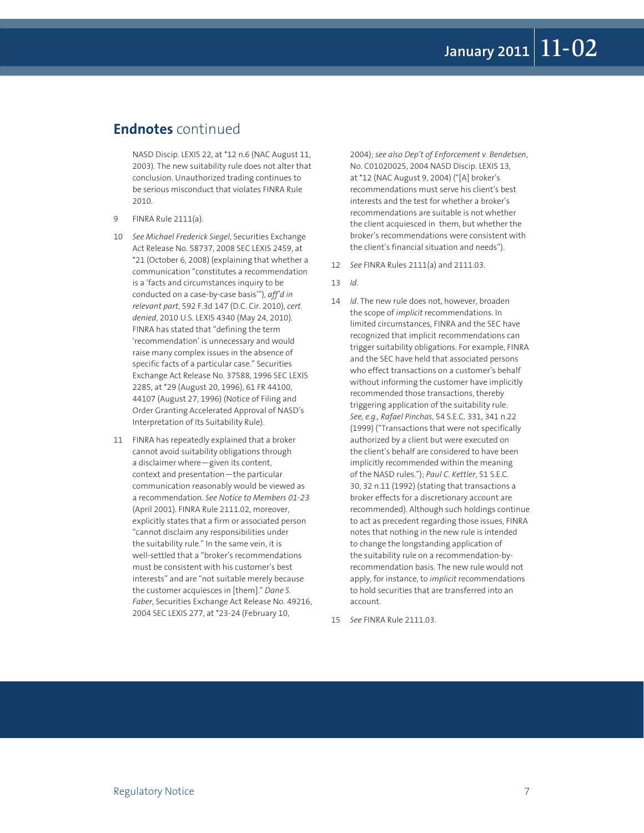#### **Endnotes** continued

NASD Discip. LEXIS 22, at \*12 n.6 (NAC August 11, 2003). The new suitability rule does not alter that conclusion. Unauthorized trading continues to be serious misconduct that violates FINRA Rule 2010.

- 9 FINRA Rule 2111(a).
- 10 *See Michael Frederick Siegel*, Securities Exchange Act Release No. 58737, 2008 SEC LEXIS 2459, at \*21 (October 6, 2008) (explaining that whether a communication "constitutes a recommendation is a 'facts and circumstances inquiry to be conducted on a case-by-case basis'"), *aff'd in relevant part*, 592 F.3d 147 (D.C. Cir. 2010), *cert. denied*, 2010 U.S. LEXIS 4340 (May 24, 2010). FINRA has stated that "defining the term 'recommendation' is unnecessary and would raise many complex issues in the absence of specific facts of a particular case." Securities Exchange Act Release No. 37588, 1996 SEC LEXIS 2285, at \*29 (August 20, 1996), 61 FR 44100, 44107 (August 27, 1996) (Notice of Filing and Order Granting Accelerated Approval of NASD's Interpretation of Its Suitability Rule).
- 11 FINRA has repeatedly explained that a broker cannot avoid suitability obligations through a disclaimer where—given its content, context and presentation—the particular communication reasonably would be viewed as a recommendation. *See Notice to Members 01-23* (April 2001). FINRA Rule 2111.02, moreover, explicitly states that a firm or associated person "cannot disclaim any responsibilities under the suitability rule." In the same vein, it is well-settled that a "broker's recommendations must be consistent with his customer's best interests" and are "not suitable merely because the customer acquiesces in [them]." *Dane S. Faber*, Securities Exchange Act Release No. 49216, 2004 SEC LEXIS 277, at \*23-24 (February 10,

2004); *see also Dep't of Enforcement v. Bendetsen*, No. C01020025, 2004 NASD Discip. LEXIS 13, at \*12 (NAC August 9, 2004) ("[A] broker's recommendations must serve his client's best interests and the test for whether a broker's recommendations are suitable is not whether the client acquiesced in them, but whether the broker's recommendations were consistent with the client's financial situation and needs").

- 12 *See* FINRA Rules 2111(a) and 2111.03.
- 13 *Id.*
- 14 *Id.* The new rule does not, however, broaden the scope of *implicit* recommendations. In limited circumstances, FINRA and the SEC have recognized that implicit recommendations can trigger suitability obligations. For example, FINRA and the SEC have held that associated persons who effect transactions on a customer's behalf without informing the customer have implicitly recommended those transactions, thereby triggering application of the suitability rule. *See, e.g., Rafael Pinchas*, 54 S.E.C. 331, 341 n.22 (1999) ("Transactions that were not specifically authorized by a client but were executed on the client's behalf are considered to have been implicitly recommended within the meaning of the NASD rules."); *Paul C. Kettler*, 51 S.E.C. 30, 32 n.11 (1992) (stating that transactions a broker effects for a discretionary account are recommended). Although such holdings continue to act as precedent regarding those issues, FINRA notes that nothing in the new rule is intended to change the longstanding application of the suitability rule on a recommendation-byrecommendation basis. The new rule would not apply, for instance, to *implicit* recommendations to hold securities that are transferred into an account.
- 15 *See* FINRA Rule 2111.03.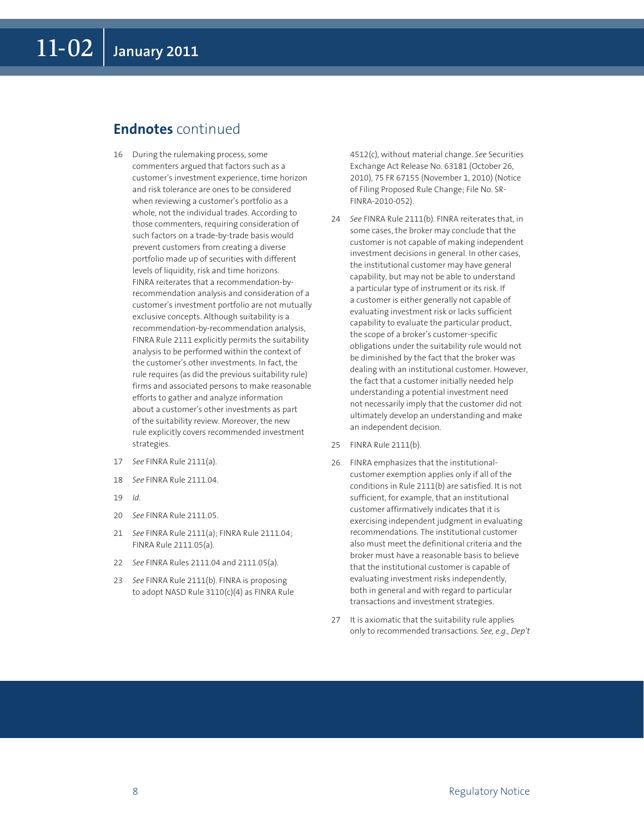#### **Endnotes** continued

- 16 During the rulemaking process, some commenters argued that factors such as a customer's investment experience, time horizon and risk tolerance are ones to be considered when reviewing a customer's portfolio as a whole, not the individual trades. According to those commenters, requiring consideration of such factors on a trade-by-trade basis would prevent customers from creating a diverse portfolio made up of securities with different levels of liquidity, risk and time horizons. FINRA reiterates that a recommendation-byrecommendation analysis and consideration of a customer's investment portfolio are not mutually exclusive concepts. Although suitability is a recommendation-by-recommendation analysis, FINRA Rule 2111 explicitly permits the suitability analysis to be performed within the context of the customer's other investments. In fact, the rule requires (as did the previous suitability rule) firms and associated persons to make reasonable efforts to gather and analyze information about a customer's other investments as part of the suitability review. Moreover, the new rule explicitly covers recommended investment strategies.
- 17 *See* FINRA Rule 2111(a).
- 18 *See* FINRA Rule 2111.04.
- 19 *Id.*
- 20 *See* FINRA Rule 2111.05.
- 21 *See* FINRA Rule 2111(a); FINRA Rule 2111.04; FINRA Rule 2111.05(a).
- 22 *See* FINRA Rules 2111.04 and 2111.05(a).
- 23 *See* FINRA Rule 2111(b). FINRA is proposing to adopt NASD Rule 3110(c)(4) as FINRA Rule

4512(c), without material change. *See* Securities Exchange Act Release No. 63181 (October 26, 2010), 75 FR 67155 (November 1, 2010) (Notice of Filing Proposed Rule Change; File No. SR-FINRA-2010-052).

- 24 *See* FINRA Rule 2111(b). FINRA reiterates that, in some cases, the broker may conclude that the customer is not capable of making independent investment decisions in general. In other cases, the institutional customer may have general capability, but may not be able to understand a particular type of instrument or its risk. If a customer is either generally not capable of evaluating investment risk or lacks sufficient capability to evaluate the particular product, the scope of a broker's customer-specific obligations under the suitability rule would not be diminished by the fact that the broker was dealing with an institutional customer. However, the fact that a customer initially needed help understanding a potential investment need not necessarily imply that the customer did not ultimately develop an understanding and make an independent decision.
- 25 FINRA Rule 2111(b).
- 26 FINRA emphasizes that the institutionalcustomer exemption applies only if all of the conditions in Rule 2111(b) are satisfied. It is not sufficient, for example, that an institutional customer affirmatively indicates that it is exercising independent judgment in evaluating recommendations. The institutional customer also must meet the definitional criteria and the broker must have a reasonable basis to believe that the institutional customer is capable of evaluating investment risks independently, both in general and with regard to particular transactions and investment strategies.
- 27 It is axiomatic that the suitability rule applies only to recommended transactions. *See, e.g., Dep't*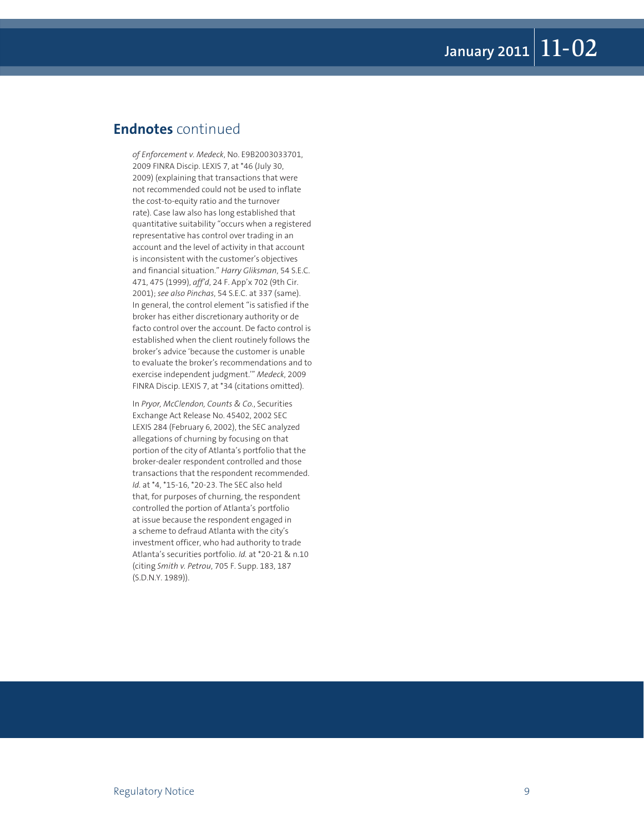#### **Endnotes** continued

*of Enforcement v. Medeck*, No. E9B2003033701, 2009 FINRA Discip. LEXIS 7, at \*46 (July 30, 2009) (explaining that transactions that were not recommended could not be used to inflate the cost-to-equity ratio and the turnover rate). Case law also has long established that quantitative suitability "occurs when a registered representative has control over trading in an account and the level of activity in that account is inconsistent with the customer's objectives and financial situation." *Harry Gliksman*, 54 S.E.C. 471, 475 (1999), *aff'd*, 24 F. App'x 702 (9th Cir. 2001); *see also Pinchas*, 54 S.E.C. at 337 (same). In general, the control element "is satisfied if the broker has either discretionary authority or de facto control over the account. De facto control is established when the client routinely follows the broker's advice 'because the customer is unable to evaluate the broker's recommendations and to exercise independent judgment.'" *Medeck*, 2009 FINRA Discip. LEXIS 7, at \*34 (citations omitted).

In *Pryor, McClendon, Counts & Co.*, Securities Exchange Act Release No. 45402, 2002 SEC LEXIS 284 (February 6, 2002), the SEC analyzed allegations of churning by focusing on that portion of the city of Atlanta's portfolio that the broker-dealer respondent controlled and those transactions that the respondent recommended. *Id.* at \*4, \*15-16, \*20-23. The SEC also held that, for purposes of churning, the respondent controlled the portion of Atlanta's portfolio at issue because the respondent engaged in a scheme to defraud Atlanta with the city's investment officer, who had authority to trade Atlanta's securities portfolio. *Id.* at \*20-21 & n.10 (citing *Smith v. Petrou*, 705 F. Supp. 183, 187 (S.D.N.Y. 1989)).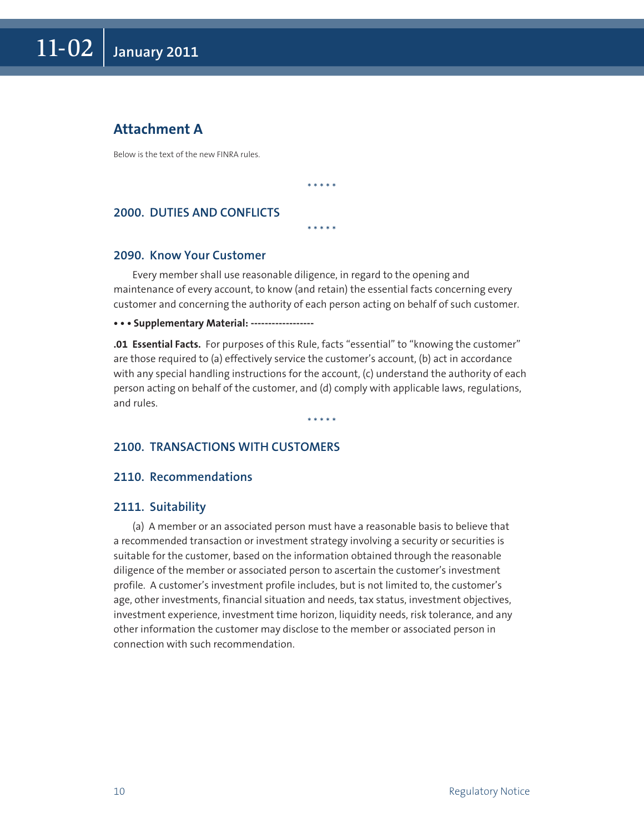#### **Attachment A**

Below is the text of the new FINRA rules.

\* \* \* \* \*

\* \* \* \* \*

#### **2000. DUTIES AND CONFLICTS**

#### **2090. Know Your Customer**

Every member shall use reasonable diligence, in regard to the opening and maintenance of every account, to know (and retain) the essential facts concerning every customer and concerning the authority of each person acting on behalf of such customer.

#### **• • • Supplementary Material: ------------------**

**.01 Essential Facts.** For purposes of this Rule, facts "essential" to "knowing the customer" are those required to (a) effectively service the customer's account, (b) act in accordance with any special handling instructions for the account, (c) understand the authority of each person acting on behalf of the customer, and (d) comply with applicable laws, regulations, and rules.

\* \* \* \* \*

#### **2100. TRANSACTIONS WITH CUSTOMERS**

#### **2110. Recommendations**

#### **2111. Suitability**

(a) A member or an associated person must have a reasonable basis to believe that a recommended transaction or investment strategy involving a security or securities is suitable for the customer, based on the information obtained through the reasonable diligence of the member or associated person to ascertain the customer's investment profile. A customer's investment profile includes, but is not limited to, the customer's age, other investments, financial situation and needs, tax status, investment objectives, investment experience, investment time horizon, liquidity needs, risk tolerance, and any other information the customer may disclose to the member or associated person in connection with such recommendation.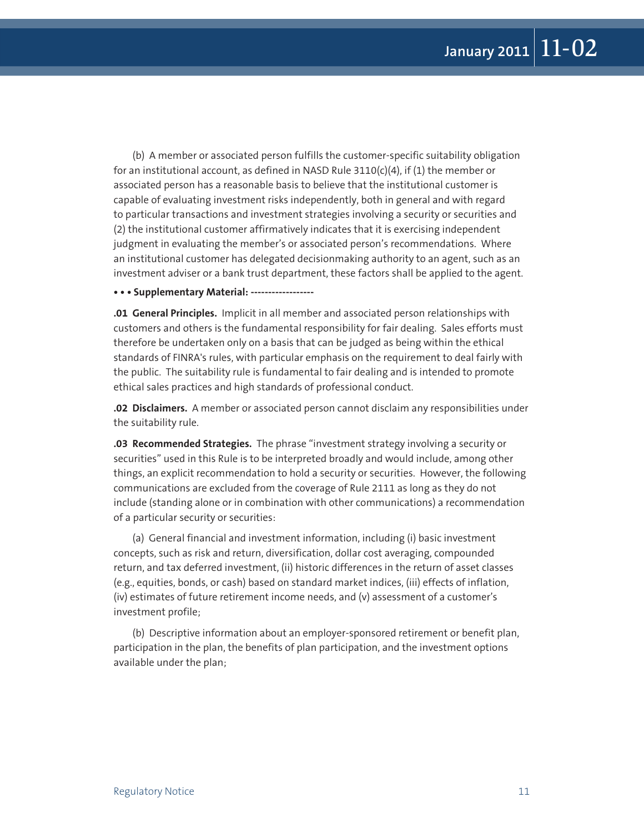(b) A member or associated person fulfills the customer-specific suitability obligation for an institutional account, as defined in NASD Rule  $3110(c)(4)$ , if (1) the member or associated person has a reasonable basis to believe that the institutional customer is capable of evaluating investment risks independently, both in general and with regard to particular transactions and investment strategies involving a security or securities and (2) the institutional customer affirmatively indicates that it is exercising independent judgment in evaluating the member's or associated person's recommendations. Where an institutional customer has delegated decisionmaking authority to an agent, such as an investment adviser or a bank trust department, these factors shall be applied to the agent.

**• • • Supplementary Material: ------------------**

**.01 General Principles.** Implicit in all member and associated person relationships with customers and others is the fundamental responsibility for fair dealing. Sales efforts must therefore be undertaken only on a basis that can be judged as being within the ethical standards of FINRA's rules, with particular emphasis on the requirement to deal fairly with the public. The suitability rule is fundamental to fair dealing and is intended to promote ethical sales practices and high standards of professional conduct.

**.02 Disclaimers.** A member or associated person cannot disclaim any responsibilities under the suitability rule.

**.03 Recommended Strategies.** The phrase "investment strategy involving a security or securities" used in this Rule is to be interpreted broadly and would include, among other things, an explicit recommendation to hold a security or securities. However, the following communications are excluded from the coverage of Rule 2111 as long as they do not include (standing alone or in combination with other communications) a recommendation of a particular security or securities:

(a) General financial and investment information, including (i) basic investment concepts, such as risk and return, diversification, dollar cost averaging, compounded return, and tax deferred investment, (ii) historic differences in the return of asset classes (e.g., equities, bonds, or cash) based on standard market indices, (iii) effects of inflation, (iv) estimates of future retirement income needs, and (v) assessment of a customer's investment profile;

(b) Descriptive information about an employer-sponsored retirement or benefit plan, participation in the plan, the benefits of plan participation, and the investment options available under the plan;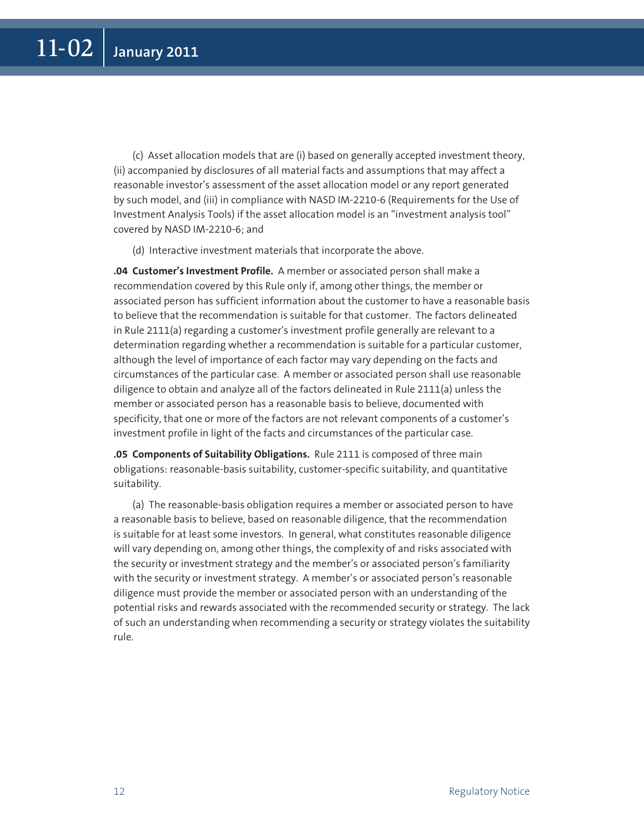(c) Asset allocation models that are (i) based on generally accepted investment theory, (ii) accompanied by disclosures of all material facts and assumptions that may affect a reasonable investor's assessment of the asset allocation model or any report generated by such model, and (iii) in compliance with NASD IM-2210-6 (Requirements for the Use of Investment Analysis Tools) if the asset allocation model is an "investment analysis tool" covered by NASD IM-2210-6; and

(d) Interactive investment materials that incorporate the above.

**.04 Customer's Investment Profile.** A member or associated person shall make a recommendation covered by this Rule only if, among other things, the member or associated person has sufficient information about the customer to have a reasonable basis to believe that the recommendation is suitable for that customer. The factors delineated in Rule 2111(a) regarding a customer's investment profile generally are relevant to a determination regarding whether a recommendation is suitable for a particular customer, although the level of importance of each factor may vary depending on the facts and circumstances of the particular case. A member or associated person shall use reasonable diligence to obtain and analyze all of the factors delineated in Rule 2111(a) unless the member or associated person has a reasonable basis to believe, documented with specificity, that one or more of the factors are not relevant components of a customer's investment profile in light of the facts and circumstances of the particular case.

**.05 Components of Suitability Obligations.** Rule 2111 is composed of three main obligations: reasonable-basis suitability, customer-specific suitability, and quantitative suitability.

(a) The reasonable-basis obligation requires a member or associated person to have a reasonable basis to believe, based on reasonable diligence, that the recommendation is suitable for at least some investors. In general, what constitutes reasonable diligence will vary depending on, among other things, the complexity of and risks associated with the security or investment strategy and the member's or associated person's familiarity with the security or investment strategy. A member's or associated person's reasonable diligence must provide the member or associated person with an understanding of the potential risks and rewards associated with the recommended security or strategy. The lack of such an understanding when recommending a security or strategy violates the suitability rule.